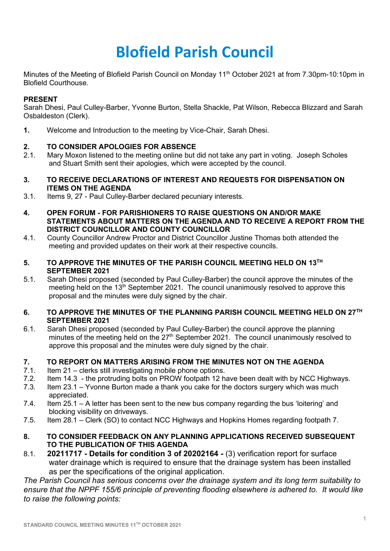# **Blofield Parish Council**

Minutes of the Meeting of Blofield Parish Council on Monday 11<sup>th</sup> October 2021 at from 7.30pm-10:10pm in Blofield Courthouse.

## **PRESENT**

Sarah Dhesi, Paul Culley-Barber, Yvonne Burton, Stella Shackle, Pat Wilson, Rebecca Blizzard and Sarah Osbaldeston (Clerk).

**1.** Welcome and Introduction to the meeting by Vice-Chair, Sarah Dhesi.

## **2. TO CONSIDER APOLOGIES FOR ABSENCE**

- 2.1. Mary Moxon listened to the meeting online but did not take any part in voting. Joseph Scholes and Stuart Smith sent their apologies, which were accepted by the council.
- **3. TO RECEIVE DECLARATIONS OF INTEREST AND REQUESTS FOR DISPENSATION ON ITEMS ON THE AGENDA**
- 3.1. Items 9, 27 Paul Culley-Barber declared pecuniary interests.
- **4. OPEN FORUM - FOR PARISHIONERS TO RAISE QUESTIONS ON AND/OR MAKE STATEMENTS ABOUT MATTERS ON THE AGENDA AND TO RECEIVE A REPORT FROM THE DISTRICT COUNCILLOR AND COUNTY COUNCILLOR**
- 4.1. County Councillor Andrew Proctor and District Councillor Justine Thomas both attended the meeting and provided updates on their work at their respective councils.
- **5. TO APPROVE THE MINUTES OF THE PARISH COUNCIL MEETING HELD ON 13TH SEPTEMBER 2021**
- 5.1. Sarah Dhesi proposed (seconded by Paul Culley-Barber) the council approve the minutes of the meeting held on the 13th September 2021. The council unanimously resolved to approve this proposal and the minutes were duly signed by the chair.
- **6. TO APPROVE THE MINUTES OF THE PLANNING PARISH COUNCIL MEETING HELD ON 27TH SEPTEMBER 2021**
- 6.1. Sarah Dhesi proposed (seconded by Paul Culley-Barber) the council approve the planning minutes of the meeting held on the 27<sup>th</sup> September 2021. The council unanimously resolved to approve this proposal and the minutes were duly signed by the chair.

#### **7. TO REPORT ON MATTERS ARISING FROM THE MINUTES NOT ON THE AGENDA**

- 7.1. Item 21 clerks still investigating mobile phone options.
- 7.2. Item 14.3 the protruding bolts on PROW footpath 12 have been dealt with by NCC Highways.
- 7.3. Item 23.1 Yvonne Burton made a thank you cake for the doctors surgery which was much appreciated.
- 7.4. Item 25.1 A letter has been sent to the new bus company regarding the bus 'loitering' and blocking visibility on driveways.
- 7.5. Item 28.1 Clerk (SO) to contact NCC Highways and Hopkins Homes regarding footpath 7.
- **8. TO CONSIDER FEEDBACK ON ANY PLANNING APPLICATIONS RECEIVED SUBSEQUENT TO THE PUBLICATION OF THIS AGENDA**
- 8.1. **20211717 - Details for condition 3 of 20202164 -** (3) verification report for surface water drainage which is required to ensure that the drainage system has been installed as per the specifications of the original application.

*The Parish Council has serious concerns over the drainage system and its long term suitability to ensure that the NPPF 155/6 principle of preventing flooding elsewhere is adhered to. It would like to raise the following points:*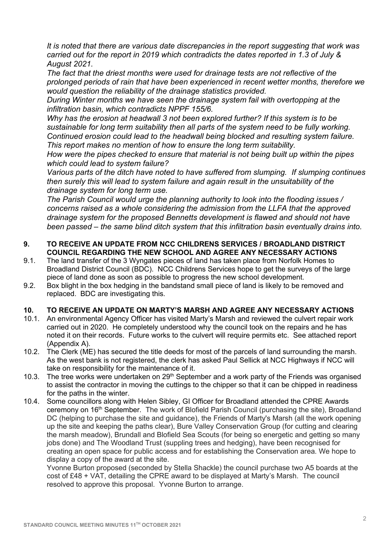*It is noted that there are various date discrepancies in the report suggesting that work was carried out for the report in 2019 which contradicts the dates reported in 1.3 of July & August 2021.* 

*The fact that the driest months were used for drainage tests are not reflective of the prolonged periods of rain that have been experienced in recent wetter months, therefore we would question the reliability of the drainage statistics provided.* 

*During Winter months we have seen the drainage system fail with overtopping at the infiltration basin, which contradicts NPPF 155/6.* 

*Why has the erosion at headwall 3 not been explored further? If this system is to be sustainable for long term suitability then all parts of the system need to be fully working. Continued erosion could lead to the headwall being blocked and resulting system failure. This report makes no mention of how to ensure the long term suitability.* 

*How were the pipes checked to ensure that material is not being built up within the pipes which could lead to system failure?*

*Various parts of the ditch have noted to have suffered from slumping. If slumping continues then surely this will lead to system failure and again result in the unsuitability of the drainage system for long term use.* 

*The Parish Council would urge the planning authority to look into the flooding issues / concerns raised as a whole considering the admission from the LLFA that the approved drainage system for the proposed Bennetts development is flawed and should not have been passed – the same blind ditch system that this infiltration basin eventually drains into.* 

## **9. TO RECEIVE AN UPDATE FROM NCC CHILDRENS SERVICES / BROADLAND DISTRICT COUNCIL REGARDING THE NEW SCHOOL AND AGREE ANY NECESSARY ACTIONS**

- 9.1. The land transfer of the 3 Wyngates pieces of land has taken place from Norfolk Homes to Broadland District Council (BDC). NCC Childrens Services hope to get the surveys of the large piece of land done as soon as possible to progress the new school development.
- 9.2. Box blight in the box hedging in the bandstand small piece of land is likely to be removed and replaced. BDC are investigating this.

## **10. TO RECEIVE AN UPDATE ON MARTY'S MARSH AND AGREE ANY NECESSARY ACTIONS**

- 10.1. An environmental Agency Officer has visited Marty's Marsh and reviewed the culvert repair work carried out in 2020. He completely understood why the council took on the repairs and he has noted it on their records. Future works to the culvert will require permits etc. See attached report (Appendix A).
- 10.2. The Clerk (ME) has secured the title deeds for most of the parcels of land surrounding the marsh. As the west bank is not registered, the clerk has asked Paul Sellick at NCC Highways if NCC will take on responsibility for the maintenance of it.
- 10.3. The tree works were undertaken on  $29<sup>th</sup>$  September and a work party of the Friends was organised to assist the contractor in moving the cuttings to the chipper so that it can be chipped in readiness for the paths in the winter.
- 10.4. Some councillors along with Helen Sibley, GI Officer for Broadland attended the CPRE Awards ceremony on 16th September. The work of Blofield Parish Council (purchasing the site), Broadland DC (helping to purchase the site and guidance), the Friends of Marty's Marsh (all the work opening up the site and keeping the paths clear), Bure Valley Conservation Group (for cutting and clearing the marsh meadow), Brundall and Blofield Sea Scouts (for being so energetic and getting so many jobs done) and The Woodland Trust (suppling trees and hedging), have been recognised for creating an open space for public access and for establishing the Conservation area. We hope to display a copy of the award at the site.

Yvonne Burton proposed (seconded by Stella Shackle) the council purchase two A5 boards at the cost of £48 + VAT, detailing the CPRE award to be displayed at Marty's Marsh. The council resolved to approve this proposal. Yvonne Burton to arrange.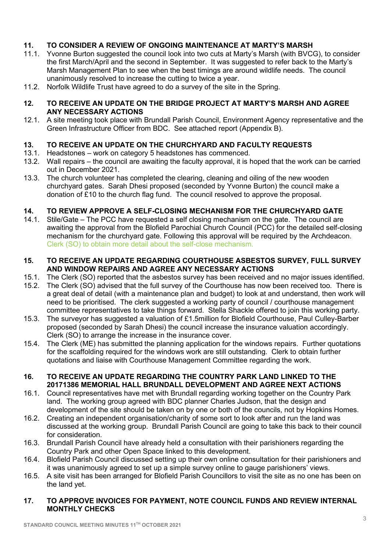## **11. TO CONSIDER A REVIEW OF ONGOING MAINTENANCE AT MARTY'S MARSH**

- 11.1. Yvonne Burton suggested the council look into two cuts at Marty's Marsh (with BVCG), to consider the first March/April and the second in September. It was suggested to refer back to the Marty's Marsh Management Plan to see when the best timings are around wildlife needs. The council unanimously resolved to increase the cutting to twice a year.
- 11.2. Norfolk Wildlife Trust have agreed to do a survey of the site in the Spring.

#### **12. TO RECEIVE AN UPDATE ON THE BRIDGE PROJECT AT MARTY'S MARSH AND AGREE ANY NECESSARY ACTIONS**

12.1. A site meeting took place with Brundall Parish Council, Environment Agency representative and the Green Infrastructure Officer from BDC. See attached report (Appendix B).

## **13. TO RECEIVE AN UPDATE ON THE CHURCHYARD AND FACULTY REQUESTS**

- 13.1. Headstones work on category 5 headstones has commenced.
- 13.2. Wall repairs the council are awaiting the faculty approval, it is hoped that the work can be carried out in December 2021.
- 13.3. The church volunteer has completed the clearing, cleaning and oiling of the new wooden churchyard gates. Sarah Dhesi proposed (seconded by Yvonne Burton) the council make a donation of £10 to the church flag fund. The council resolved to approve the proposal.

## **14. TO REVIEW APPROVE A SELF-CLOSING MECHANISM FOR THE CHURCHYARD GATE**

14.1. Stile/Gate – The PCC have requested a self closing mechanism on the gate. The council are awaiting the approval from the Blofield Parochial Church Council (PCC) for the detailed self-closing mechanism for the churchyard gate. Following this approval will be required by the Archdeacon. Clerk (SO) to obtain more detail about the self-close mechanism.

#### **15. TO RECEIVE AN UPDATE REGARDING COURTHOUSE ASBESTOS SURVEY, FULL SURVEY AND WINDOW REPAIRS AND AGREE ANY NECESSARY ACTIONS**

- 15.1. The Clerk (SO) reported that the asbestos survey has been received and no major issues identified.
- 15.2. The Clerk (SO) advised that the full survey of the Courthouse has now been received too. There is a great deal of detail (with a maintenance plan and budget) to look at and understand, then work will need to be prioritised. The clerk suggested a working party of council / courthouse management committee representatives to take things forward. Stella Shackle offered to join this working party.
- 15.3. The surveyor has suggested a valuation of £1.5million for Blofield Courthouse, Paul Culley-Barber proposed (seconded by Sarah Dhesi) the council increase the insurance valuation accordingly. Clerk (SO) to arrange the increase in the insurance cover.
- 15.4. The Clerk (ME) has submitted the planning application for the windows repairs. Further quotations for the scaffolding required for the windows work are still outstanding. Clerk to obtain further quotations and liaise with Courthouse Management Committee regarding the work.

#### **16. TO RECEIVE AN UPDATE REGARDING THE COUNTRY PARK LAND LINKED TO THE 20171386 MEMORIAL HALL BRUNDALL DEVELOPMENT AND AGREE NEXT ACTIONS**

- 16.1. Council representatives have met with Brundall regarding working together on the Country Park land. The working group agreed with BDC planner Charles Judson, that the design and development of the site should be taken on by one or both of the councils, not by Hopkins Homes.
- 16.2. Creating an independent organisation/charity of some sort to look after and run the land was discussed at the working group. Brundall Parish Council are going to take this back to their council for consideration.
- 16.3. Brundall Parish Council have already held a consultation with their parishioners regarding the Country Park and other Open Space linked to this development.
- 16.4. Blofield Parish Council discussed setting up their own online consultation for their parishioners and it was unanimously agreed to set up a simple survey online to gauge parishioners' views.
- 16.5. A site visit has been arranged for Blofield Parish Councillors to visit the site as no one has been on the land yet.

#### **17. TO APPROVE INVOICES FOR PAYMENT, NOTE COUNCIL FUNDS AND REVIEW INTERNAL MONTHLY CHECKS**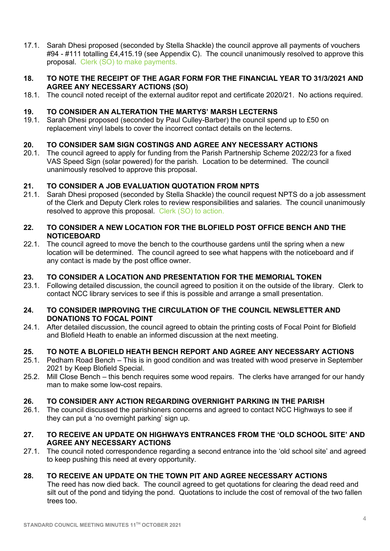17.1. Sarah Dhesi proposed (seconded by Stella Shackle) the council approve all payments of vouchers #94 - #111 totalling £4,415.19 (see Appendix C). The council unanimously resolved to approve this proposal. Clerk (SO) to make payments.

#### **18. TO NOTE THE RECEIPT OF THE AGAR FORM FOR THE FINANCIAL YEAR TO 31/3/2021 AND AGREE ANY NECESSARY ACTIONS (SO)**

18.1. The council noted receipt of the external auditor repot and certificate 2020/21. No actions required.

## **19. TO CONSIDER AN ALTERATION THE MARTYS' MARSH LECTERNS**

19.1. Sarah Dhesi proposed (seconded by Paul Culley-Barber) the council spend up to £50 on replacement vinyl labels to cover the incorrect contact details on the lecterns.

## **20. TO CONSIDER SAM SIGN COSTINGS AND AGREE ANY NECESSARY ACTIONS**

20.1. The council agreed to apply for funding from the Parish Partnership Scheme 2022/23 for a fixed VAS Speed Sign (solar powered) for the parish. Location to be determined. The council unanimously resolved to approve this proposal.

## **21. TO CONSIDER A JOB EVALUATION QUOTATION FROM NPTS**

21.1. Sarah Dhesi proposed (seconded by Stella Shackle) the council request NPTS do a job assessment of the Clerk and Deputy Clerk roles to review responsibilities and salaries. The council unanimously resolved to approve this proposal. Clerk (SO) to action.

#### **22. TO CONSIDER A NEW LOCATION FOR THE BLOFIELD POST OFFICE BENCH AND THE NOTICEBOARD**

22.1. The council agreed to move the bench to the courthouse gardens until the spring when a new location will be determined. The council agreed to see what happens with the noticeboard and if any contact is made by the post office owner.

## **23. TO CONSIDER A LOCATION AND PRESENTATION FOR THE MEMORIAL TOKEN**

23.1. Following detailed discussion, the council agreed to position it on the outside of the library. Clerk to contact NCC library services to see if this is possible and arrange a small presentation.

#### **24. TO CONSIDER IMPROVING THE CIRCULATION OF THE COUNCIL NEWSLETTER AND DONATIONS TO FOCAL POINT**

24.1. After detailed discussion, the council agreed to obtain the printing costs of Focal Point for Blofield and Blofield Heath to enable an informed discussion at the next meeting.

#### **25. TO NOTE A BLOFIELD HEATH BENCH REPORT AND AGREE ANY NECESSARY ACTIONS**

- 25.1. Pedham Road Bench This is in good condition and was treated with wood preserve in September 2021 by Keep Blofield Special.
- 25.2. Mill Close Bench this bench requires some wood repairs. The clerks have arranged for our handy man to make some low-cost repairs.

## **26. TO CONSIDER ANY ACTION REGARDING OVERNIGHT PARKING IN THE PARISH**

26.1. The council discussed the parishioners concerns and agreed to contact NCC Highways to see if they can put a 'no overnight parking' sign up.

## **27. TO RECEIVE AN UPDATE ON HIGHWAYS ENTRANCES FROM THE 'OLD SCHOOL SITE' AND AGREE ANY NECESSARY ACTIONS**

27.1. The council noted correspondence regarding a second entrance into the 'old school site' and agreed to keep pushing this need at every opportunity.

## **28. TO RECEIVE AN UPDATE ON THE TOWN PIT AND AGREE NECESSARY ACTIONS**

The reed has now died back. The council agreed to get quotations for clearing the dead reed and silt out of the pond and tidying the pond. Quotations to include the cost of removal of the two fallen trees too.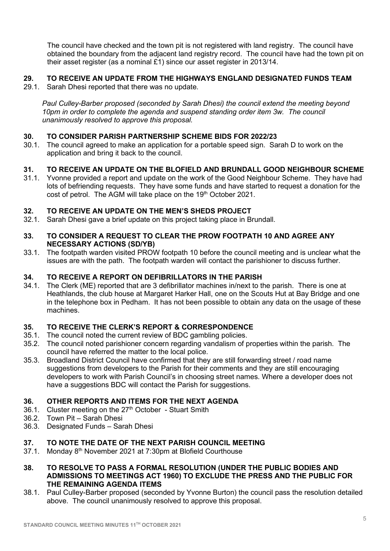The council have checked and the town pit is not registered with land registry. The council have obtained the boundary from the adjacent land registry record. The council have had the town pit on their asset register (as a nominal £1) since our asset register in 2013/14.

## **29. TO RECEIVE AN UPDATE FROM THE HIGHWAYS ENGLAND DESIGNATED FUNDS TEAM**

29.1. Sarah Dhesi reported that there was no update.

*Paul Culley-Barber proposed (seconded by Sarah Dhesi) the council extend the meeting beyond 10pm in order to complete the agenda and suspend standing order item 3w. The council unanimously resolved to approve this proposal.*

## **30. TO CONSIDER PARISH PARTNERSHIP SCHEME BIDS FOR 2022/23**

30.1. The council agreed to make an application for a portable speed sign. Sarah D to work on the application and bring it back to the council.

## **31. TO RECEIVE AN UPDATE ON THE BLOFIELD AND BRUNDALL GOOD NEIGHBOUR SCHEME**

31.1. Yvonne provided a report and update on the work of the Good Neighbour Scheme. They have had lots of befriending requests. They have some funds and have started to request a donation for the cost of petrol. The AGM will take place on the 19<sup>th</sup> October 2021.

## **32. TO RECEIVE AN UPDATE ON THE MEN'S SHEDS PROJECT**

32.1. Sarah Dhesi gave a brief update on this project taking place in Brundall.

## **33. TO CONSIDER A REQUEST TO CLEAR THE PROW FOOTPATH 10 AND AGREE ANY NECESSARY ACTIONS (SD/YB)**

33.1. The footpath warden visited PROW footpath 10 before the council meeting and is unclear what the issues are with the path. The footpath warden will contact the parishioner to discuss further.

# **34. TO RECEIVE A REPORT ON DEFIBRILLATORS IN THE PARISH**

34.1. The Clerk (ME) reported that are 3 defibrillator machines in/next to the parish. There is one at Heathlands, the club house at Margaret Harker Hall, one on the Scouts Hut at Bay Bridge and one in the telephone box in Pedham. It has not been possible to obtain any data on the usage of these machines.

## **35. TO RECEIVE THE CLERK'S REPORT & CORRESPONDENCE**

- 35.1. The council noted the current review of BDC gambling policies.
- 35.2. The council noted parishioner concern regarding vandalism of properties within the parish. The council have referred the matter to the local police.
- 35.3. Broadland District Council have confirmed that they are still forwarding street / road name suggestions from developers to the Parish for their comments and they are still encouraging developers to work with Parish Council's in choosing street names. Where a developer does not have a suggestions BDC will contact the Parish for suggestions.

## **36. OTHER REPORTS AND ITEMS FOR THE NEXT AGENDA**

- 36.1. Cluster meeting on the  $27<sup>th</sup>$  October Stuart Smith
- 36.2. Town Pit Sarah Dhesi
- 36.3. Designated Funds Sarah Dhesi

# **37. TO NOTE THE DATE OF THE NEXT PARISH COUNCIL MEETING**

- 37.1. Monday 8<sup>th</sup> November 2021 at 7:30pm at Blofield Courthouse
- **38. TO RESOLVE TO PASS A FORMAL RESOLUTION (UNDER THE PUBLIC BODIES AND ADMISSIONS TO MEETINGS ACT 1960) TO EXCLUDE THE PRESS AND THE PUBLIC FOR THE REMAINING AGENDA ITEMS**
- 38.1. Paul Culley-Barber proposed (seconded by Yvonne Burton) the council pass the resolution detailed above. The council unanimously resolved to approve this proposal.